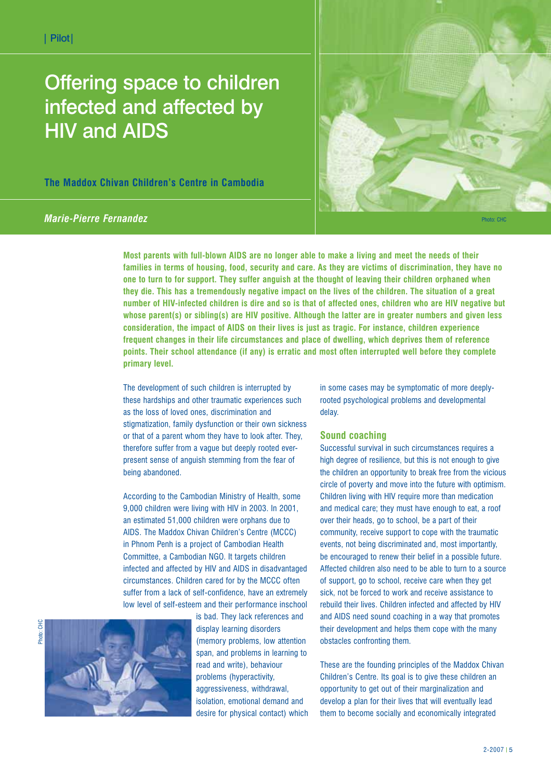# Offering space to children infected and affected by HIV and AIDS

**The Maddox Chivan Children's Centre in Cambodia**



*Marie-Pierre Fernandez* 

**Most parents with full-blown AIDS are no longer able to make a living and meet the needs of their families in terms of housing, food, security and care. As they are victims of discrimination, they have no one to turn to for support. They suffer anguish at the thought of leaving their children orphaned when they die. This has a tremendously negative impact on the lives of the children. The situation of a great number of HIV-infected children is dire and so is that of affected ones, children who are HIV negative but whose parent(s) or sibling(s) are HIV positive. Although the latter are in greater numbers and given less consideration, the impact of AIDS on their lives is just as tragic. For instance, children experience frequent changes in their life circumstances and place of dwelling, which deprives them of reference points. Their school attendance (if any) is erratic and most often interrupted well before they complete primary level.** 

The development of such children is interrupted by these hardships and other traumatic experiences such as the loss of loved ones, discrimination and stigmatization, family dysfunction or their own sickness or that of a parent whom they have to look after. They, therefore suffer from a vague but deeply rooted everpresent sense of anguish stemming from the fear of being abandoned.

According to the Cambodian Ministry of Health, some 9,000 children were living with HIV in 2003. In 2001, an estimated 51,000 children were orphans due to AIDS. The Maddox Chivan Children's Centre (MCCC) in Phnom Penh is a project of Cambodian Health Committee, a Cambodian NGO. It targets children infected and affected by HIV and AIDS in disadvantaged circumstances. Children cared for by the MCCC often suffer from a lack of self-confidence, have an extremely low level of self-esteem and their performance inschool



is bad. They lack references and display learning disorders (memory problems, low attention span, and problems in learning to read and write), behaviour problems (hyperactivity, aggressiveness, withdrawal, isolation, emotional demand and desire for physical contact) which in some cases may be symptomatic of more deeplyrooted psychological problems and developmental delay.

# **Sound coaching**

Successful survival in such circumstances requires a high degree of resilience, but this is not enough to give the children an opportunity to break free from the vicious circle of poverty and move into the future with optimism. Children living with HIV require more than medication and medical care; they must have enough to eat, a roof over their heads, go to school, be a part of their community, receive support to cope with the traumatic events, not being discriminated and, most importantly, be encouraged to renew their belief in a possible future. Affected children also need to be able to turn to a source of support, go to school, receive care when they get sick, not be forced to work and receive assistance to rebuild their lives. Children infected and affected by HIV and AIDS need sound coaching in a way that promotes their development and helps them cope with the many obstacles confronting them.

These are the founding principles of the Maddox Chivan Children's Centre. Its goal is to give these children an opportunity to get out of their marginalization and develop a plan for their lives that will eventually lead them to become socially and economically integrated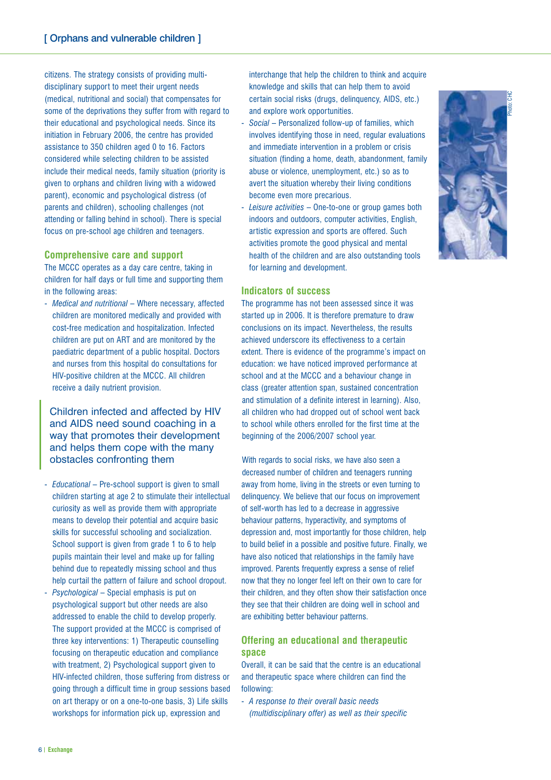citizens. The strategy consists of providing multidisciplinary support to meet their urgent needs (medical, nutritional and social) that compensates for some of the deprivations they suffer from with regard to their educational and psychological needs. Since its initiation in February 2006, the centre has provided assistance to 350 children aged 0 to 16. Factors considered while selecting children to be assisted include their medical needs, family situation (priority is given to orphans and children living with a widowed parent), economic and psychological distress (of parents and children), schooling challenges (not attending or falling behind in school). There is special focus on pre-school age children and teenagers.

## **Comprehensive care and support**

The MCCC operates as a day care centre, taking in children for half days or full time and supporting them in the following areas:

- *Medical and nutritional* – Where necessary, affected children are monitored medically and provided with cost-free medication and hospitalization. Infected children are put on ART and are monitored by the paediatric department of a public hospital. Doctors and nurses from this hospital do consultations for HIV-positive children at the MCCC. All children receive a daily nutrient provision.

Children infected and affected by HIV and AIDS need sound coaching in a way that promotes their development and helps them cope with the many obstacles confronting them

- *Educational* Pre-school support is given to small children starting at age 2 to stimulate their intellectual curiosity as well as provide them with appropriate means to develop their potential and acquire basic skills for successful schooling and socialization. School support is given from grade 1 to 6 to help pupils maintain their level and make up for falling behind due to repeatedly missing school and thus help curtail the pattern of failure and school dropout.
- *Psychological* Special emphasis is put on psychological support but other needs are also addressed to enable the child to develop properly. The support provided at the MCCC is comprised of three key interventions: 1) Therapeutic counselling focusing on therapeutic education and compliance with treatment, 2) Psychological support given to HIV-infected children, those suffering from distress or going through a difficult time in group sessions based on art therapy or on a one-to-one basis, 3) Life skills workshops for information pick up, expression and

interchange that help the children to think and acquire knowledge and skills that can help them to avoid certain social risks (drugs, delinquency, AIDS, etc.) and explore work opportunities.

- *Social* Personalized follow-up of families, which involves identifying those in need, regular evaluations and immediate intervention in a problem or crisis situation (finding a home, death, abandonment, family abuse or violence, unemployment, etc.) so as to avert the situation whereby their living conditions become even more precarious.
- *Leisure activities* One-to-one or group games both indoors and outdoors, computer activities, English, artistic expression and sports are offered. Such activities promote the good physical and mental health of the children and are also outstanding tools for learning and development.

### **Indicators of success**

The programme has not been assessed since it was started up in 2006. It is therefore premature to draw conclusions on its impact. Nevertheless, the results achieved underscore its effectiveness to a certain extent. There is evidence of the programme's impact on education: we have noticed improved performance at school and at the MCCC and a behaviour change in class (greater attention span, sustained concentration and stimulation of a definite interest in learning). Also, all children who had dropped out of school went back to school while others enrolled for the first time at the beginning of the 2006/2007 school year.

With regards to social risks, we have also seen a decreased number of children and teenagers running away from home, living in the streets or even turning to delinquency. We believe that our focus on improvement of self-worth has led to a decrease in aggressive behaviour patterns, hyperactivity, and symptoms of depression and, most importantly for those children, help to build belief in a possible and positive future. Finally, we have also noticed that relationships in the family have improved. Parents frequently express a sense of relief now that they no longer feel left on their own to care for their children, and they often show their satisfaction once they see that their children are doing well in school and are exhibiting better behaviour patterns.

# **Offering an educational and therapeutic space**

Overall, it can be said that the centre is an educational and therapeutic space where children can find the following:

- *A response to their overall basic needs (multidisciplinary offer) as well as their specific*